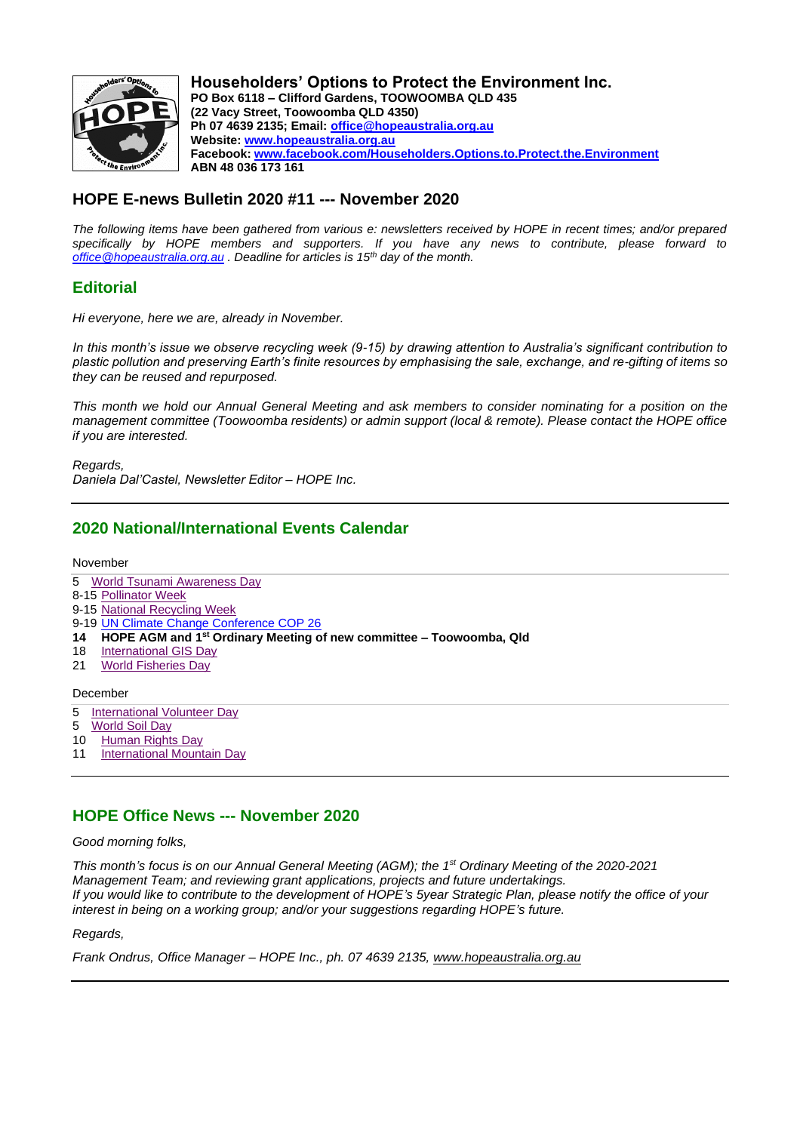

**Householders' Options to Protect the Environment Inc. PO Box 6118 – Clifford Gardens, TOOWOOMBA QLD 435 (22 Vacy Street, Toowoomba QLD 4350) Ph 07 4639 2135; Email: office@hopeaustralia.org.au Website: www.hopeaustralia.org.au Facebook: www.facebook.com/Householders.Options.to.Protect.the.Environment ABN 48 036 173 161**

# **HOPE E-news Bulletin 2020 #11 --- November 2020**

*The following items have been gathered from various e: newsletters received by HOPE in recent times; and/or prepared specifically by HOPE members and supporters. If you have any news to contribute, please forward to office@hopeaustralia.org.au . Deadline for articles is 15th day of the month.*

## **Editorial**

*Hi everyone, here we are, already in November.*

*In this month's issue we observe recycling week (9-15) by drawing attention to Australia's significant contribution to plastic pollution and preserving Earth's finite resources by emphasising the sale, exchange, and re-gifting of items so they can be reused and repurposed.* 

*This month we hold our Annual General Meeting and ask members to consider nominating for a position on the management committee (Toowoomba residents) or admin support (local & remote). Please contact the HOPE office if you are interested.*

*Regards, Daniela Dal'Castel, Newsletter Editor – HOPE Inc.*

# **2020 National/International Events Calendar**

November

- 5 World Tsunami Awareness Day
- 8-15 Pollinator Week
- 9-15 National Recycling Week
- 9-19 UN Climate Change Conference COP 26
- **14 HOPE AGM and 1st Ordinary Meeting of new committee – Toowoomba, Qld**
- 18 International GIS Day<br>21 World Fisheries Day
- **World Fisheries Day**

#### December

- 5 International Volunteer Day
- 5 World Soil Day
- 10 Human Rights Day
- 11 International Mountain Day

## **HOPE Office News --- November 2020**

*Good morning folks,*

*This month's focus is on our Annual General Meeting (AGM); the 1st Ordinary Meeting of the 2020-2021 Management Team; and reviewing grant applications, projects and future undertakings. If you would like to contribute to the development of HOPE's 5year Strategic Plan, please notify the office of your interest in being on a working group; and/or your suggestions regarding HOPE's future.*

*Regards,*

*Frank Ondrus, Office Manager – HOPE Inc., ph. 07 4639 2135, www.hopeaustralia.org.au*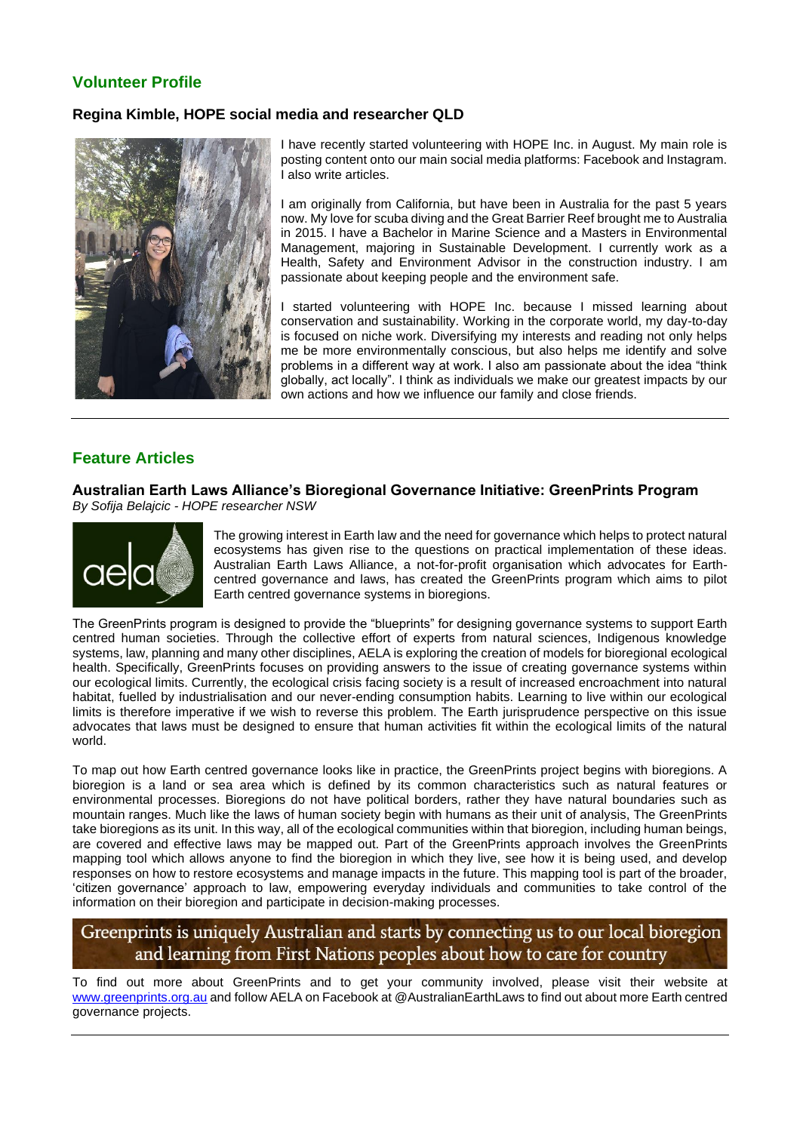# **Volunteer Profile**

## **Regina Kimble, HOPE social media and researcher QLD**



I have recently started volunteering with HOPE Inc. in August. My main role is posting content onto our main social media platforms: Facebook and Instagram. I also write articles.

I am originally from California, but have been in Australia for the past 5 years now. My love for scuba diving and the Great Barrier Reef brought me to Australia in 2015. I have a Bachelor in Marine Science and a Masters in Environmental Management, majoring in Sustainable Development. I currently work as a Health, Safety and Environment Advisor in the construction industry. I am passionate about keeping people and the environment safe.

I started volunteering with HOPE Inc. because I missed learning about conservation and sustainability. Working in the corporate world, my day-to-day is focused on niche work. Diversifying my interests and reading not only helps me be more environmentally conscious, but also helps me identify and solve problems in a different way at work. I also am passionate about the idea "think globally, act locally". I think as individuals we make our greatest impacts by our own actions and how we influence our family and close friends.

# **Feature Articles**

### **Australian Earth Laws Alliance's Bioregional Governance Initiative: GreenPrints Program** *By Sofija Belajcic - HOPE researcher NSW*



The growing interest in Earth law and the need for governance which helps to protect natural ecosystems has given rise to the questions on practical implementation of these ideas. Australian Earth Laws Alliance, a not-for-profit organisation which advocates for Earthcentred governance and laws, has created the GreenPrints program which aims to pilot Earth centred governance systems in bioregions.

The GreenPrints program is designed to provide the "blueprints" for designing governance systems to support Earth centred human societies. Through the collective effort of experts from natural sciences, Indigenous knowledge systems, law, planning and many other disciplines, AELA is exploring the creation of models for bioregional ecological health. Specifically, GreenPrints focuses on providing answers to the issue of creating governance systems within our ecological limits. Currently, the ecological crisis facing society is a result of increased encroachment into natural habitat, fuelled by industrialisation and our never-ending consumption habits. Learning to live within our ecological limits is therefore imperative if we wish to reverse this problem. The Earth jurisprudence perspective on this issue advocates that laws must be designed to ensure that human activities fit within the ecological limits of the natural world.

To map out how Earth centred governance looks like in practice, the GreenPrints project begins with bioregions. A bioregion is a land or sea area which is defined by its common characteristics such as natural features or environmental processes. Bioregions do not have political borders, rather they have natural boundaries such as mountain ranges. Much like the laws of human society begin with humans as their unit of analysis, The GreenPrints take bioregions as its unit. In this way, all of the ecological communities within that bioregion, including human beings, are covered and effective laws may be mapped out. Part of the GreenPrints approach involves the GreenPrints mapping tool which allows anyone to find the bioregion in which they live, see how it is being used, and develop responses on how to restore ecosystems and manage impacts in the future. This mapping tool is part of the broader, 'citizen governance' approach to law, empowering everyday individuals and communities to take control of the information on their bioregion and participate in decision-making processes.

# Greenprints is uniquely Australian and starts by connecting us to our local bioregion and learning from First Nations peoples about how to care for country

To find out more about GreenPrints and to get your community involved, please visit their website at www.greenprints.org.au and follow AELA on Facebook at @AustralianEarthLaws to find out about more Earth centred governance projects.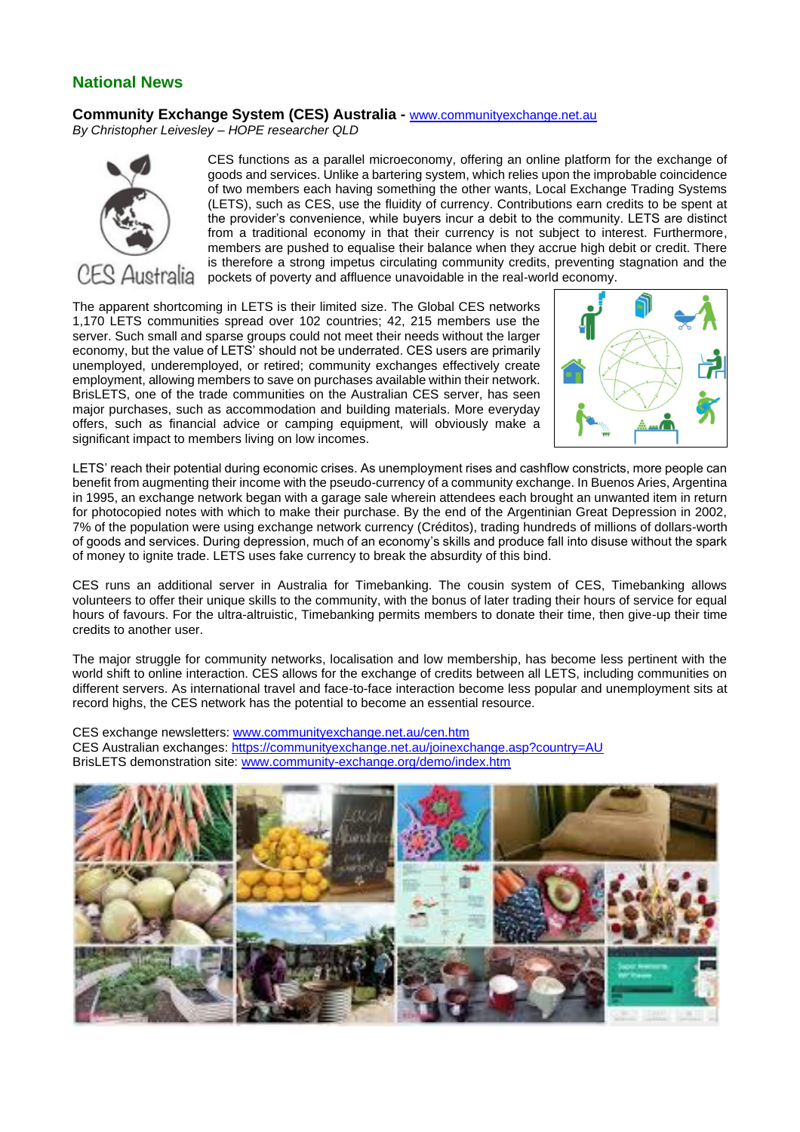## **National News**

## **Community Exchange System (CES) Australia -** www.communityexchange.net.au

*By Christopher Leivesley – HOPE researcher QLD*



CES functions as a parallel microeconomy, offering an online platform for the exchange of goods and services. Unlike a bartering system, which relies upon the improbable coincidence of two members each having something the other wants, Local Exchange Trading Systems (LETS), such as CES, use the fluidity of currency. Contributions earn credits to be spent at the provider's convenience, while buyers incur a debit to the community. LETS are distinct from a traditional economy in that their currency is not subject to interest. Furthermore, members are pushed to equalise their balance when they accrue high debit or credit. There is therefore a strong impetus circulating community credits, preventing stagnation and the pockets of poverty and affluence unavoidable in the real-world economy.

The apparent shortcoming in LETS is their limited size. The Global CES networks 1,170 LETS communities spread over 102 countries; 42, 215 members use the server. Such small and sparse groups could not meet their needs without the larger economy, but the value of LETS' should not be underrated. CES users are primarily unemployed, underemployed, or retired; community exchanges effectively create employment, allowing members to save on purchases available within their network. BrisLETS, one of the trade communities on the Australian CES server, has seen major purchases, such as accommodation and building materials. More everyday offers, such as financial advice or camping equipment, will obviously make a significant impact to members living on low incomes.



LETS' reach their potential during economic crises. As unemployment rises and cashflow constricts, more people can benefit from augmenting their income with the pseudo-currency of a community exchange. In Buenos Aries, Argentina in 1995, an exchange network began with a garage sale wherein attendees each brought an unwanted item in return for photocopied notes with which to make their purchase. By the end of the Argentinian Great Depression in 2002, 7% of the population were using exchange network currency (Créditos), trading hundreds of millions of dollars-worth of goods and services. During depression, much of an economy's skills and produce fall into disuse without the spark of money to ignite trade. LETS uses fake currency to break the absurdity of this bind.

CES runs an additional server in Australia for Timebanking. The cousin system of CES, Timebanking allows volunteers to offer their unique skills to the community, with the bonus of later trading their hours of service for equal hours of favours. For the ultra-altruistic, Timebanking permits members to donate their time, then give-up their time credits to another user.

The major struggle for community networks, localisation and low membership, has become less pertinent with the world shift to online interaction. CES allows for the exchange of credits between all LETS, including communities on different servers. As international travel and face-to-face interaction become less popular and unemployment sits at record highs, the CES network has the potential to become an essential resource.

CES exchange newsletters: www.communityexchange.net.au/cen.htm CES Australian exchanges: https://communityexchange.net.au/joinexchange.asp?country=AU BrisLETS demonstration site: www.community-exchange.org/demo/index.htm

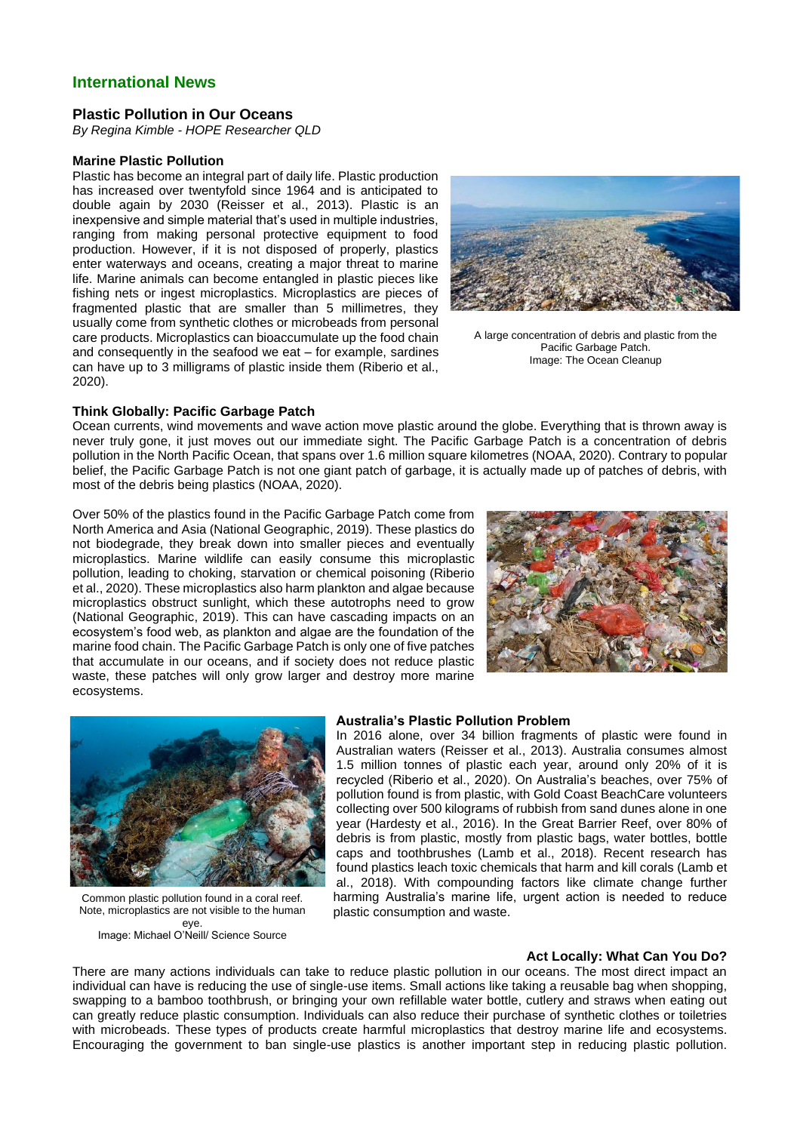## **International News**

### **Plastic Pollution in Our Oceans**

*By Regina Kimble - HOPE Researcher QLD*

#### **Marine Plastic Pollution**

Plastic has become an integral part of daily life. Plastic production has increased over twentyfold since 1964 and is anticipated to double again by 2030 (Reisser et al., 2013). Plastic is an inexpensive and simple material that's used in multiple industries, ranging from making personal protective equipment to food production. However, if it is not disposed of properly, plastics enter waterways and oceans, creating a major threat to marine life. Marine animals can become entangled in plastic pieces like fishing nets or ingest microplastics. Microplastics are pieces of fragmented plastic that are smaller than 5 millimetres, they usually come from synthetic clothes or microbeads from personal care products. Microplastics can bioaccumulate up the food chain and consequently in the seafood we eat – for example, sardines can have up to 3 milligrams of plastic inside them (Riberio et al., 2020).



A large concentration of debris and plastic from the Pacific Garbage Patch. Image: The Ocean Cleanup

#### **Think Globally: Pacific Garbage Patch**

Ocean currents, wind movements and wave action move plastic around the globe. Everything that is thrown away is never truly gone, it just moves out our immediate sight. The Pacific Garbage Patch is a concentration of debris pollution in the North Pacific Ocean, that spans over 1.6 million square kilometres (NOAA, 2020). Contrary to popular belief, the Pacific Garbage Patch is not one giant patch of garbage, it is actually made up of patches of debris, with most of the debris being plastics (NOAA, 2020).

Over 50% of the plastics found in the Pacific Garbage Patch come from North America and Asia (National Geographic, 2019). These plastics do not biodegrade, they break down into smaller pieces and eventually microplastics. Marine wildlife can easily consume this microplastic pollution, leading to choking, starvation or chemical poisoning (Riberio et al., 2020). These microplastics also harm plankton and algae because microplastics obstruct sunlight, which these autotrophs need to grow (National Geographic, 2019). This can have cascading impacts on an ecosystem's food web, as plankton and algae are the foundation of the marine food chain. The Pacific Garbage Patch is only one of five patches that accumulate in our oceans, and if society does not reduce plastic waste, these patches will only grow larger and destroy more marine ecosystems.





Common plastic pollution found in a coral reef. Note, microplastics are not visible to the human eye. Image: Michael O'Neill/ Science Source

#### **Australia's Plastic Pollution Problem**

In 2016 alone, over 34 billion fragments of plastic were found in Australian waters (Reisser et al., 2013). Australia consumes almost 1.5 million tonnes of plastic each year, around only 20% of it is recycled (Riberio et al., 2020). On Australia's beaches, over 75% of pollution found is from plastic, with Gold Coast BeachCare volunteers collecting over 500 kilograms of rubbish from sand dunes alone in one year (Hardesty et al., 2016). In the Great Barrier Reef, over 80% of debris is from plastic, mostly from plastic bags, water bottles, bottle caps and toothbrushes (Lamb et al., 2018). Recent research has found plastics leach toxic chemicals that harm and kill corals (Lamb et al., 2018). With compounding factors like climate change further harming Australia's marine life, urgent action is needed to reduce plastic consumption and waste.

## **Act Locally: What Can You Do?**

There are many actions individuals can take to reduce plastic pollution in our oceans. The most direct impact an individual can have is reducing the use of single-use items. Small actions like taking a reusable bag when shopping, swapping to a bamboo toothbrush, or bringing your own refillable water bottle, cutlery and straws when eating out can greatly reduce plastic consumption. Individuals can also reduce their purchase of synthetic clothes or toiletries with microbeads. These types of products create harmful microplastics that destroy marine life and ecosystems. Encouraging the government to ban single-use plastics is another important step in reducing plastic pollution.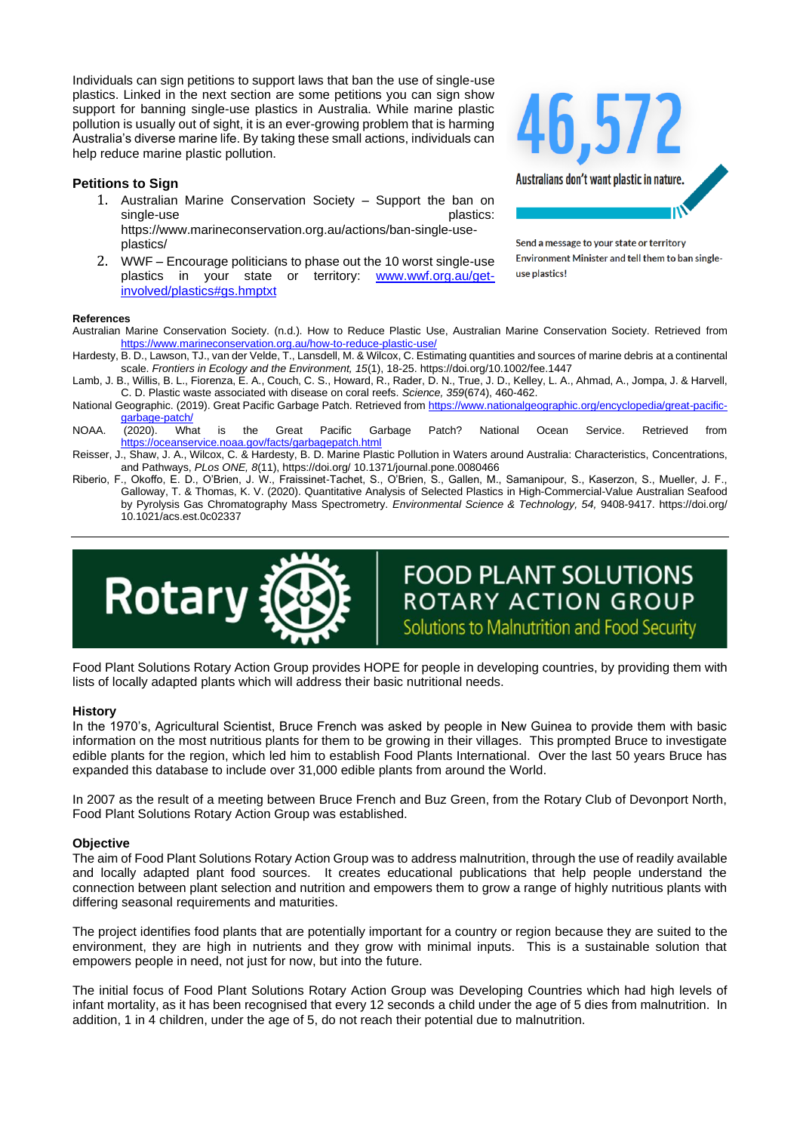Individuals can sign petitions to support laws that ban the use of single-use plastics. Linked in the next section are some petitions you can sign show support for banning single-use plastics in Australia. While marine plastic pollution is usually out of sight, it is an ever-growing problem that is harming Australia's diverse marine life. By taking these small actions, individuals can help reduce marine plastic pollution.

## **Petitions to Sign**

- 1. Australian Marine Conservation Society Support the ban on single-use https://www.marineconservation.org.au/actions/ban-single-useplastics/
- 2. WWF Encourage politicians to phase out the 10 worst single-use plastics in your state or territory: www.wwf.org.au/getinvolved/plastics#gs.hmptxt



Send a message to your state or territory Environment Minister and tell them to ban singleuse plastics!

#### **References**

- Australian Marine Conservation Society. (n.d.). How to Reduce Plastic Use, Australian Marine Conservation Society. Retrieved from https://www.marineconservation.org.au/how-to-reduce-plastic-use/
- Hardesty, B. D., Lawson, TJ., van der Velde, T., Lansdell, M. & Wilcox, C. Estimating quantities and sources of marine debris at a continental scale. *Frontiers in Ecology and the Environment, 15*(1), 18-25. https://doi.org/10.1002/fee.1447
- Lamb, J. B., Willis, B. L., Fiorenza, E. A., Couch, C. S., Howard, R., Rader, D. N., True, J. D., Kelley, L. A., Ahmad, A., Jompa, J. & Harvell, C. D. Plastic waste associated with disease on coral reefs. *Science, 359*(674), 460-462.
- National Geographic. (2019). Great Pacific Garbage Patch. Retrieved from https://www.nationalgeographic.org/encyclopedia/great-pacificgarbage-patch/<br>(2020). What
- NOAA. (2020). What is the Great Pacific Garbage Patch? National Ocean Service. Retrieved from https://oceanservice.noaa.gov/facts/garbagepatch.html
- Reisser, J., Shaw, J. A., Wilcox, C. & Hardesty, B. D. Marine Plastic Pollution in Waters around Australia: Characteristics, Concentrations, and Pathways, *PLos ONE, 8*(11), https://doi.org/ 10.1371/journal.pone.0080466
- Riberio, F., Okoffo, E. D., O'Brien, J. W., Fraissinet-Tachet, S., O'Brien, S., Gallen, M., Samanipour, S., Kaserzon, S., Mueller, J. F., Galloway, T. & Thomas, K. V. (2020). Quantitative Analysis of Selected Plastics in High-Commercial-Value Australian Seafood by Pyrolysis Gas Chromatography Mass Spectrometry. *Environmental Science & Technology, 54,* 9408-9417. https://doi.org/ 10.1021/acs.est.0c02337



**FOOD PLANT SOLUTIONS** ROTARY ACTION GROUP Solutions to Malnutrition and Food Security

Food Plant Solutions Rotary Action Group provides HOPE for people in developing countries, by providing them with lists of locally adapted plants which will address their basic nutritional needs.

#### **History**

In the 1970's, Agricultural Scientist, Bruce French was asked by people in New Guinea to provide them with basic information on the most nutritious plants for them to be growing in their villages. This prompted Bruce to investigate edible plants for the region, which led him to establish Food Plants International. Over the last 50 years Bruce has expanded this database to include over 31,000 edible plants from around the World.

In 2007 as the result of a meeting between Bruce French and Buz Green, from the Rotary Club of Devonport North, Food Plant Solutions Rotary Action Group was established.

### **Objective**

The aim of Food Plant Solutions Rotary Action Group was to address malnutrition, through the use of readily available and locally adapted plant food sources. It creates educational publications that help people understand the connection between plant selection and nutrition and empowers them to grow a range of highly nutritious plants with differing seasonal requirements and maturities.

The project identifies food plants that are potentially important for a country or region because they are suited to the environment, they are high in nutrients and they grow with minimal inputs. This is a sustainable solution that empowers people in need, not just for now, but into the future.

The initial focus of Food Plant Solutions Rotary Action Group was Developing Countries which had high levels of infant mortality, as it has been recognised that every 12 seconds a child under the age of 5 dies from malnutrition. In addition, 1 in 4 children, under the age of 5, do not reach their potential due to malnutrition.